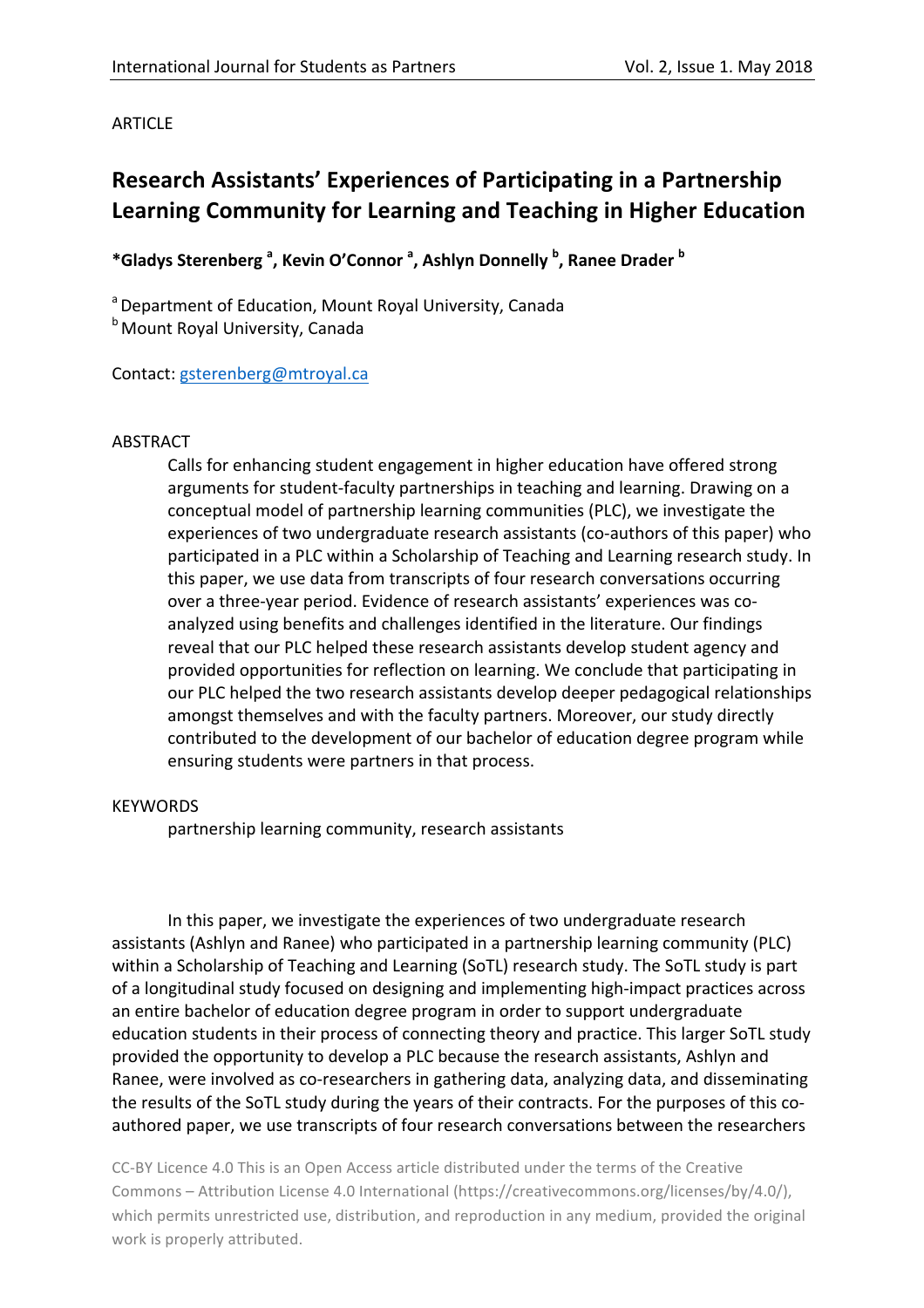## **ARTICLE**

# **Research Assistants' Experiences of Participating in a Partnership Learning Community for Learning and Teaching in Higher Education**

 $*$ Gladys Sterenberg <sup>a</sup>, Kevin O'Connor <sup>a</sup>, Ashlyn Donnelly <sup>b</sup>, Ranee Drader <sup>b</sup>

<sup>a</sup> Department of Education, Mount Royal University, Canada **b** Mount Royal University, Canada

Contact: gsterenberg@mtroyal.ca

## ABSTRACT

Calls for enhancing student engagement in higher education have offered strong arguments for student-faculty partnerships in teaching and learning. Drawing on a conceptual model of partnership learning communities (PLC), we investigate the experiences of two undergraduate research assistants (co-authors of this paper) who participated in a PLC within a Scholarship of Teaching and Learning research study. In this paper, we use data from transcripts of four research conversations occurring over a three-year period. Evidence of research assistants' experiences was coanalyzed using benefits and challenges identified in the literature. Our findings reveal that our PLC helped these research assistants develop student agency and provided opportunities for reflection on learning. We conclude that participating in our PLC helped the two research assistants develop deeper pedagogical relationships amongst themselves and with the faculty partners. Moreover, our study directly contributed to the development of our bachelor of education degree program while ensuring students were partners in that process.

## **KEYWORDS**

partnership learning community, research assistants

In this paper, we investigate the experiences of two undergraduate research assistants (Ashlyn and Ranee) who participated in a partnership learning community (PLC) within a Scholarship of Teaching and Learning (SoTL) research study. The SoTL study is part of a longitudinal study focused on designing and implementing high-impact practices across an entire bachelor of education degree program in order to support undergraduate education students in their process of connecting theory and practice. This larger SoTL study provided the opportunity to develop a PLC because the research assistants, Ashlyn and Ranee, were involved as co-researchers in gathering data, analyzing data, and disseminating the results of the SoTL study during the years of their contracts. For the purposes of this coauthored paper, we use transcripts of four research conversations between the researchers

CC-BY Licence 4.0 This is an Open Access article distributed under the terms of the Creative Commons – Attribution License 4.0 International (https://creativecommons.org/licenses/by/4.0/), which permits unrestricted use, distribution, and reproduction in any medium, provided the original work is properly attributed.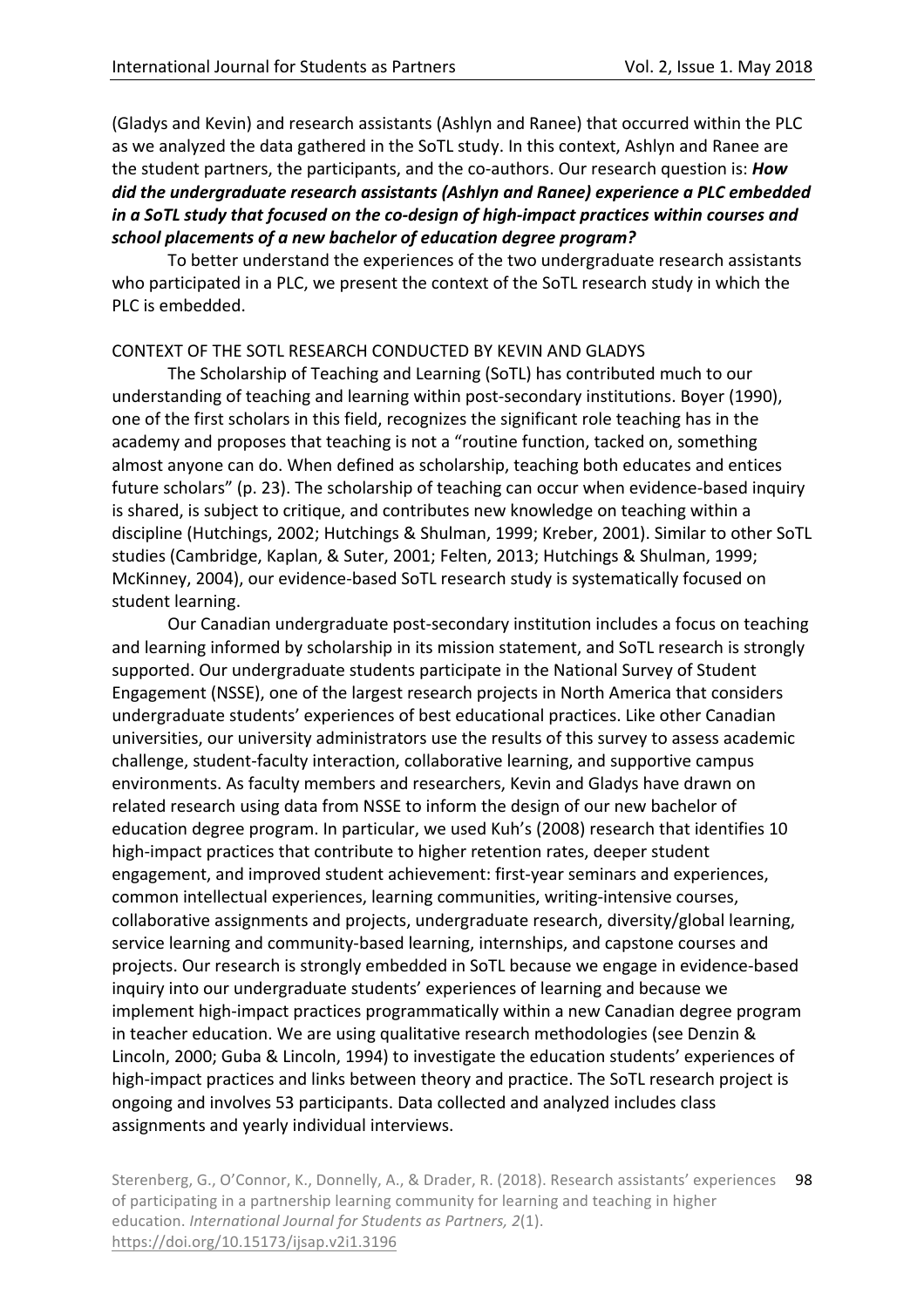(Gladys and Kevin) and research assistants (Ashlyn and Ranee) that occurred within the PLC as we analyzed the data gathered in the SoTL study. In this context, Ashlyn and Ranee are the student partners, the participants, and the co-authors. Our research question is: **How** did the *undergraduate research assistants* (Ashlyn and Ranee) experience a PLC embedded *in a SoTL* study that focused on the co-design of high-impact practices within courses and school placements of a new bachelor of education degree program?

To better understand the experiences of the two undergraduate research assistants who participated in a PLC, we present the context of the SoTL research study in which the PLC is embedded.

## CONTEXT OF THE SOTL RESEARCH CONDUCTED BY KEVIN AND GLADYS

The Scholarship of Teaching and Learning (SoTL) has contributed much to our understanding of teaching and learning within post-secondary institutions. Boyer (1990), one of the first scholars in this field, recognizes the significant role teaching has in the academy and proposes that teaching is not a "routine function, tacked on, something almost anyone can do. When defined as scholarship, teaching both educates and entices future scholars" (p. 23). The scholarship of teaching can occur when evidence-based inquiry is shared, is subject to critique, and contributes new knowledge on teaching within a discipline (Hutchings, 2002; Hutchings & Shulman, 1999; Kreber, 2001). Similar to other SoTL studies (Cambridge, Kaplan, & Suter, 2001; Felten, 2013; Hutchings & Shulman, 1999; McKinney, 2004), our evidence-based SoTL research study is systematically focused on student learning.

Our Canadian undergraduate post-secondary institution includes a focus on teaching and learning informed by scholarship in its mission statement, and SoTL research is strongly supported. Our undergraduate students participate in the National Survey of Student Engagement (NSSE), one of the largest research projects in North America that considers undergraduate students' experiences of best educational practices. Like other Canadian universities, our university administrators use the results of this survey to assess academic challenge, student-faculty interaction, collaborative learning, and supportive campus environments. As faculty members and researchers, Kevin and Gladys have drawn on related research using data from NSSE to inform the design of our new bachelor of education degree program. In particular, we used Kuh's (2008) research that identifies 10 high-impact practices that contribute to higher retention rates, deeper student engagement, and improved student achievement: first-year seminars and experiences, common intellectual experiences, learning communities, writing-intensive courses, collaborative assignments and projects, undergraduate research, diversity/global learning, service learning and community-based learning, internships, and capstone courses and projects. Our research is strongly embedded in SoTL because we engage in evidence-based inquiry into our undergraduate students' experiences of learning and because we implement high-impact practices programmatically within a new Canadian degree program in teacher education. We are using qualitative research methodologies (see Denzin & Lincoln, 2000; Guba & Lincoln, 1994) to investigate the education students' experiences of high-impact practices and links between theory and practice. The SoTL research project is ongoing and involves 53 participants. Data collected and analyzed includes class assignments and yearly individual interviews.

Sterenberg, G., O'Connor, K., Donnelly, A., & Drader, R. (2018). Research assistants' experiences of participating in a partnership learning community for learning and teaching in higher education. *International Journal for Students as Partners, 2(1).* https://doi.org/10.15173/ijsap.v2i1.3196 98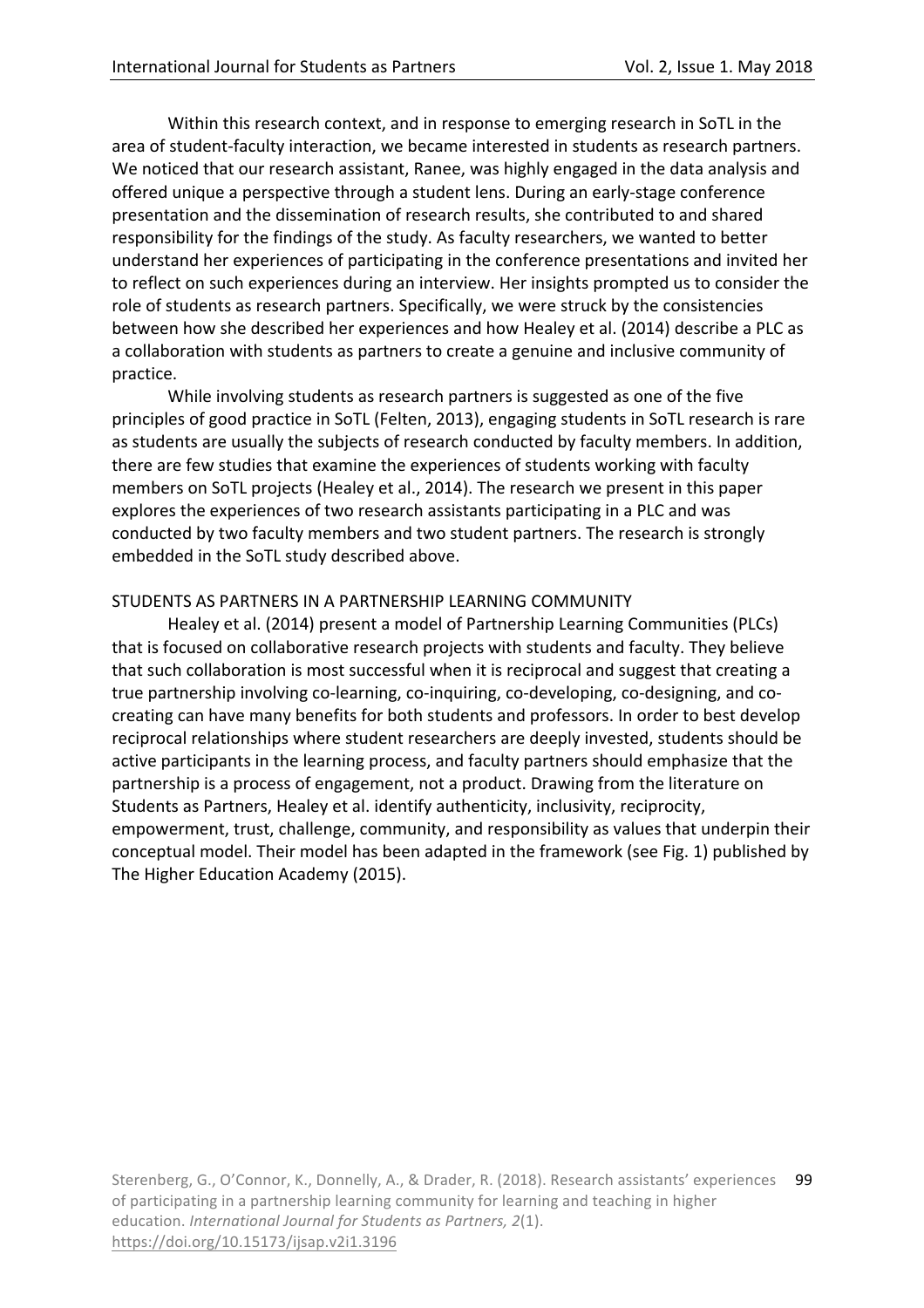Within this research context, and in response to emerging research in SoTL in the area of student-faculty interaction, we became interested in students as research partners. We noticed that our research assistant, Ranee, was highly engaged in the data analysis and offered unique a perspective through a student lens. During an early-stage conference presentation and the dissemination of research results, she contributed to and shared responsibility for the findings of the study. As faculty researchers, we wanted to better understand her experiences of participating in the conference presentations and invited her to reflect on such experiences during an interview. Her insights prompted us to consider the role of students as research partners. Specifically, we were struck by the consistencies between how she described her experiences and how Healey et al. (2014) describe a PLC as a collaboration with students as partners to create a genuine and inclusive community of practice. 

While involving students as research partners is suggested as one of the five principles of good practice in SoTL (Felten, 2013), engaging students in SoTL research is rare as students are usually the subjects of research conducted by faculty members. In addition, there are few studies that examine the experiences of students working with faculty members on SoTL projects (Healey et al., 2014). The research we present in this paper explores the experiences of two research assistants participating in a PLC and was conducted by two faculty members and two student partners. The research is strongly embedded in the SoTL study described above.

## STUDENTS AS PARTNERS IN A PARTNERSHIP LEARNING COMMUNITY

Healey et al. (2014) present a model of Partnership Learning Communities (PLCs) that is focused on collaborative research projects with students and faculty. They believe that such collaboration is most successful when it is reciprocal and suggest that creating a true partnership involving co-learning, co-inquiring, co-developing, co-designing, and cocreating can have many benefits for both students and professors. In order to best develop reciprocal relationships where student researchers are deeply invested, students should be active participants in the learning process, and faculty partners should emphasize that the partnership is a process of engagement, not a product. Drawing from the literature on Students as Partners, Healey et al. identify authenticity, inclusivity, reciprocity, empowerment, trust, challenge, community, and responsibility as values that underpin their conceptual model. Their model has been adapted in the framework (see Fig. 1) published by The Higher Education Academy (2015).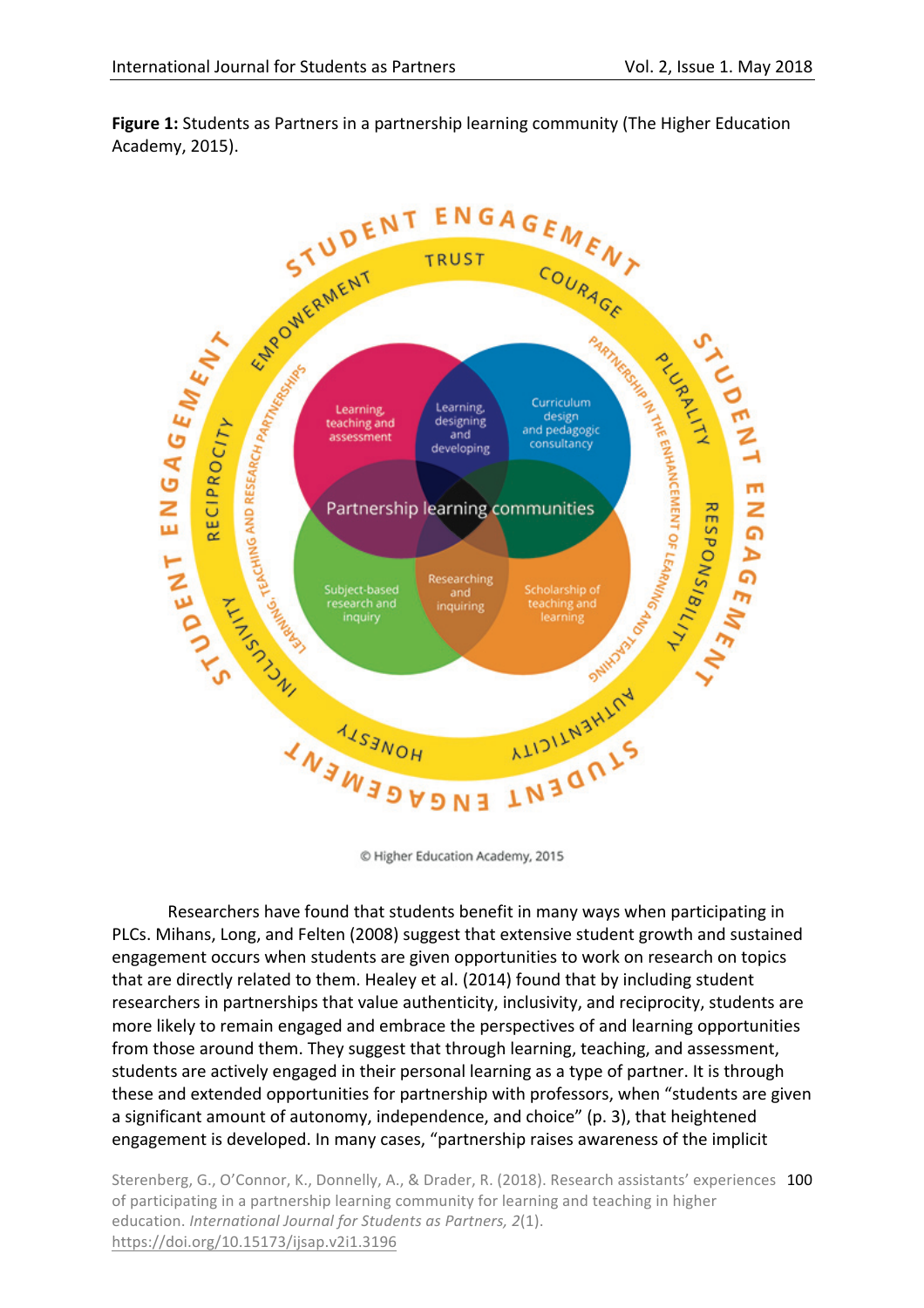

**Figure 1:** Students as Partners in a partnership learning community (The Higher Education Academy, 2015).

© Higher Education Academy, 2015

Researchers have found that students benefit in many ways when participating in PLCs. Mihans, Long, and Felten (2008) suggest that extensive student growth and sustained engagement occurs when students are given opportunities to work on research on topics that are directly related to them. Healey et al. (2014) found that by including student researchers in partnerships that value authenticity, inclusivity, and reciprocity, students are more likely to remain engaged and embrace the perspectives of and learning opportunities from those around them. They suggest that through learning, teaching, and assessment, students are actively engaged in their personal learning as a type of partner. It is through these and extended opportunities for partnership with professors, when "students are given a significant amount of autonomy, independence, and choice" (p. 3), that heightened engagement is developed. In many cases, "partnership raises awareness of the implicit

Sterenberg, G., O'Connor, K., Donnelly, A., & Drader, R. (2018). Research assistants' experiences 100 of participating in a partnership learning community for learning and teaching in higher education. *International Journal for Students as Partners, 2(1).* https://doi.org/10.15173/ijsap.v2i1.3196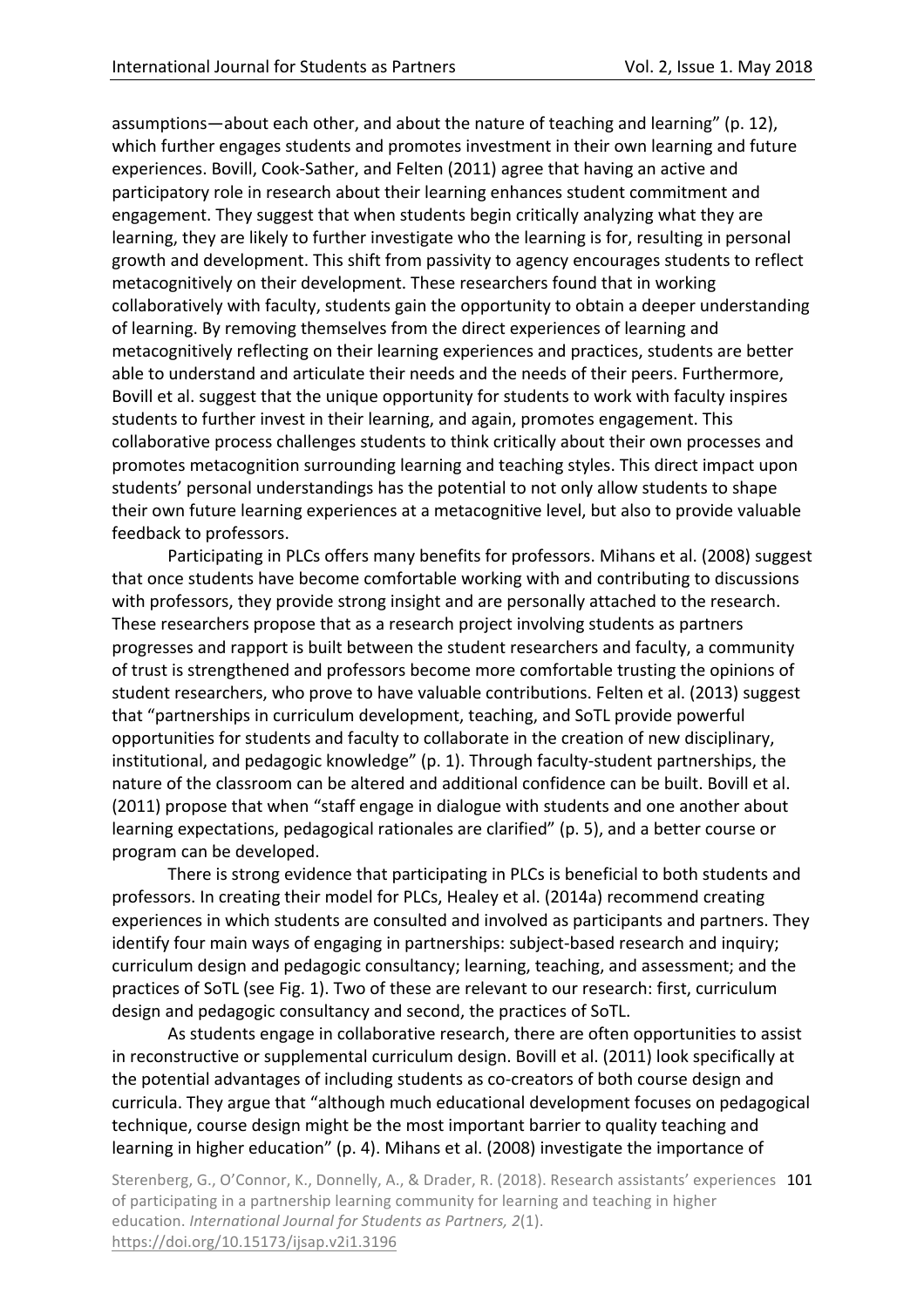assumptions—about each other, and about the nature of teaching and learning" (p. 12), which further engages students and promotes investment in their own learning and future experiences. Bovill, Cook-Sather, and Felten (2011) agree that having an active and participatory role in research about their learning enhances student commitment and engagement. They suggest that when students begin critically analyzing what they are learning, they are likely to further investigate who the learning is for, resulting in personal growth and development. This shift from passivity to agency encourages students to reflect metacognitively on their development. These researchers found that in working collaboratively with faculty, students gain the opportunity to obtain a deeper understanding of learning. By removing themselves from the direct experiences of learning and metacognitively reflecting on their learning experiences and practices, students are better able to understand and articulate their needs and the needs of their peers. Furthermore, Bovill et al. suggest that the unique opportunity for students to work with faculty inspires students to further invest in their learning, and again, promotes engagement. This collaborative process challenges students to think critically about their own processes and promotes metacognition surrounding learning and teaching styles. This direct impact upon students' personal understandings has the potential to not only allow students to shape their own future learning experiences at a metacognitive level, but also to provide valuable feedback to professors.

Participating in PLCs offers many benefits for professors. Mihans et al. (2008) suggest that once students have become comfortable working with and contributing to discussions with professors, they provide strong insight and are personally attached to the research. These researchers propose that as a research project involving students as partners progresses and rapport is built between the student researchers and faculty, a community of trust is strengthened and professors become more comfortable trusting the opinions of student researchers, who prove to have valuable contributions. Felten et al. (2013) suggest that "partnerships in curriculum development, teaching, and SoTL provide powerful opportunities for students and faculty to collaborate in the creation of new disciplinary, institutional, and pedagogic knowledge" (p. 1). Through faculty-student partnerships, the nature of the classroom can be altered and additional confidence can be built. Bovill et al. (2011) propose that when "staff engage in dialogue with students and one another about learning expectations, pedagogical rationales are clarified" (p. 5), and a better course or program can be developed.

There is strong evidence that participating in PLCs is beneficial to both students and professors. In creating their model for PLCs, Healey et al. (2014a) recommend creating experiences in which students are consulted and involved as participants and partners. They identify four main ways of engaging in partnerships: subject-based research and inquiry; curriculum design and pedagogic consultancy; learning, teaching, and assessment; and the practices of SoTL (see Fig. 1). Two of these are relevant to our research: first, curriculum design and pedagogic consultancy and second, the practices of SoTL.

As students engage in collaborative research, there are often opportunities to assist in reconstructive or supplemental curriculum design. Bovill et al. (2011) look specifically at the potential advantages of including students as co-creators of both course design and curricula. They argue that "although much educational development focuses on pedagogical technique, course design might be the most important barrier to quality teaching and learning in higher education" (p. 4). Mihans et al. (2008) investigate the importance of

Sterenberg, G., O'Connor, K., Donnelly, A., & Drader, R. (2018). Research assistants' experiences 101 of participating in a partnership learning community for learning and teaching in higher education. *International Journal for Students as Partners, 2(1).* https://doi.org/10.15173/ijsap.v2i1.3196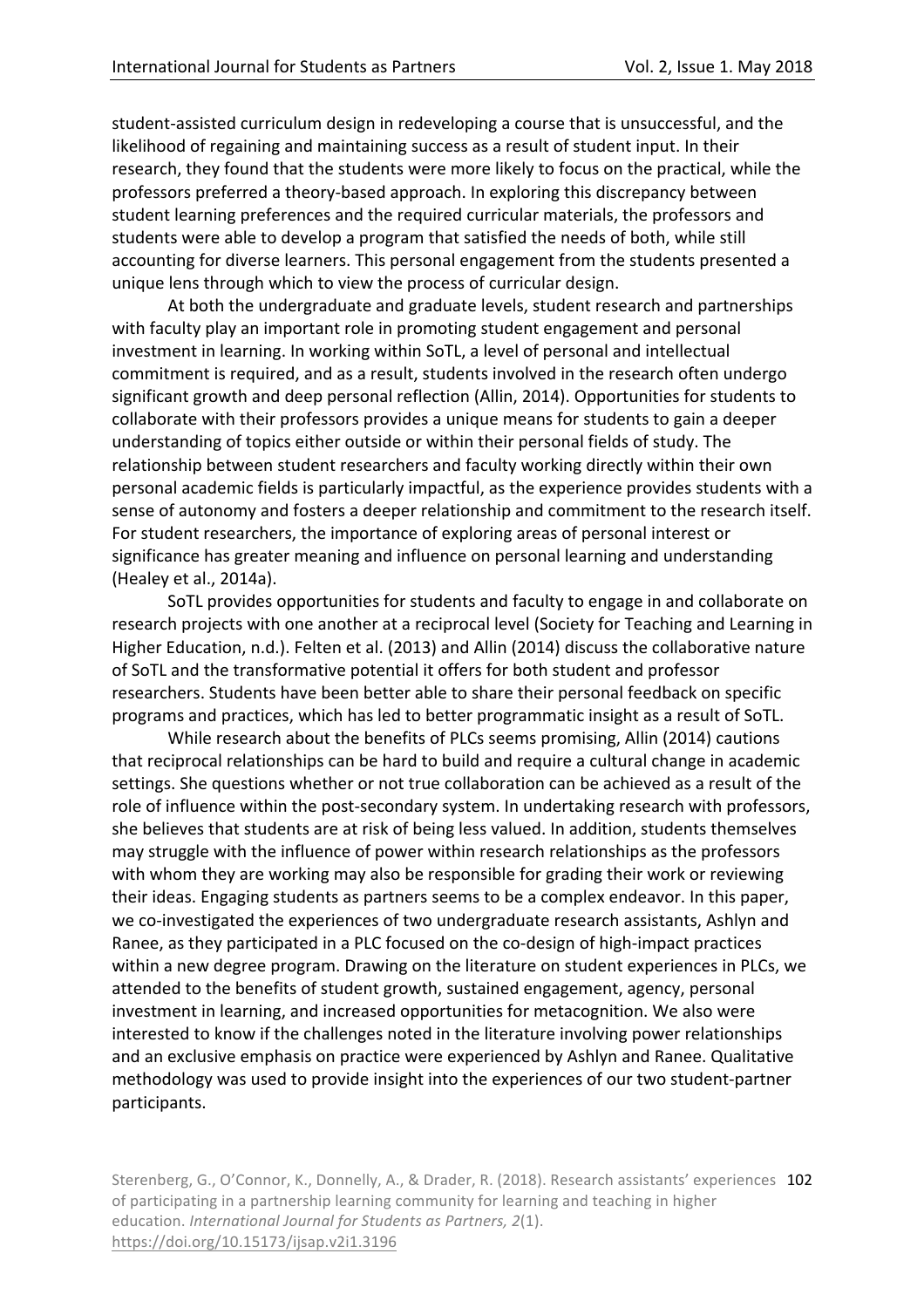student-assisted curriculum design in redeveloping a course that is unsuccessful, and the likelihood of regaining and maintaining success as a result of student input. In their research, they found that the students were more likely to focus on the practical, while the professors preferred a theory-based approach. In exploring this discrepancy between student learning preferences and the required curricular materials, the professors and students were able to develop a program that satisfied the needs of both, while still accounting for diverse learners. This personal engagement from the students presented a unique lens through which to view the process of curricular design.

At both the undergraduate and graduate levels, student research and partnerships with faculty play an important role in promoting student engagement and personal investment in learning. In working within SoTL, a level of personal and intellectual commitment is required, and as a result, students involved in the research often undergo significant growth and deep personal reflection (Allin, 2014). Opportunities for students to collaborate with their professors provides a unique means for students to gain a deeper understanding of topics either outside or within their personal fields of study. The relationship between student researchers and faculty working directly within their own personal academic fields is particularly impactful, as the experience provides students with a sense of autonomy and fosters a deeper relationship and commitment to the research itself. For student researchers, the importance of exploring areas of personal interest or significance has greater meaning and influence on personal learning and understanding (Healey et al., 2014a).

SoTL provides opportunities for students and faculty to engage in and collaborate on research projects with one another at a reciprocal level (Society for Teaching and Learning in Higher Education, n.d.). Felten et al. (2013) and Allin (2014) discuss the collaborative nature of SoTL and the transformative potential it offers for both student and professor researchers. Students have been better able to share their personal feedback on specific programs and practices, which has led to better programmatic insight as a result of SoTL.

While research about the benefits of PLCs seems promising, Allin (2014) cautions that reciprocal relationships can be hard to build and require a cultural change in academic settings. She questions whether or not true collaboration can be achieved as a result of the role of influence within the post-secondary system. In undertaking research with professors, she believes that students are at risk of being less valued. In addition, students themselves may struggle with the influence of power within research relationships as the professors with whom they are working may also be responsible for grading their work or reviewing their ideas. Engaging students as partners seems to be a complex endeavor. In this paper, we co-investigated the experiences of two undergraduate research assistants, Ashlyn and Ranee, as they participated in a PLC focused on the co-design of high-impact practices within a new degree program. Drawing on the literature on student experiences in PLCs, we attended to the benefits of student growth, sustained engagement, agency, personal investment in learning, and increased opportunities for metacognition. We also were interested to know if the challenges noted in the literature involving power relationships and an exclusive emphasis on practice were experienced by Ashlyn and Ranee. Qualitative methodology was used to provide insight into the experiences of our two student-partner participants.

Sterenberg, G., O'Connor, K., Donnelly, A., & Drader, R. (2018). Research assistants' experiences 102 of participating in a partnership learning community for learning and teaching in higher education. *International Journal for Students as Partners, 2(1).* https://doi.org/10.15173/ijsap.v2i1.3196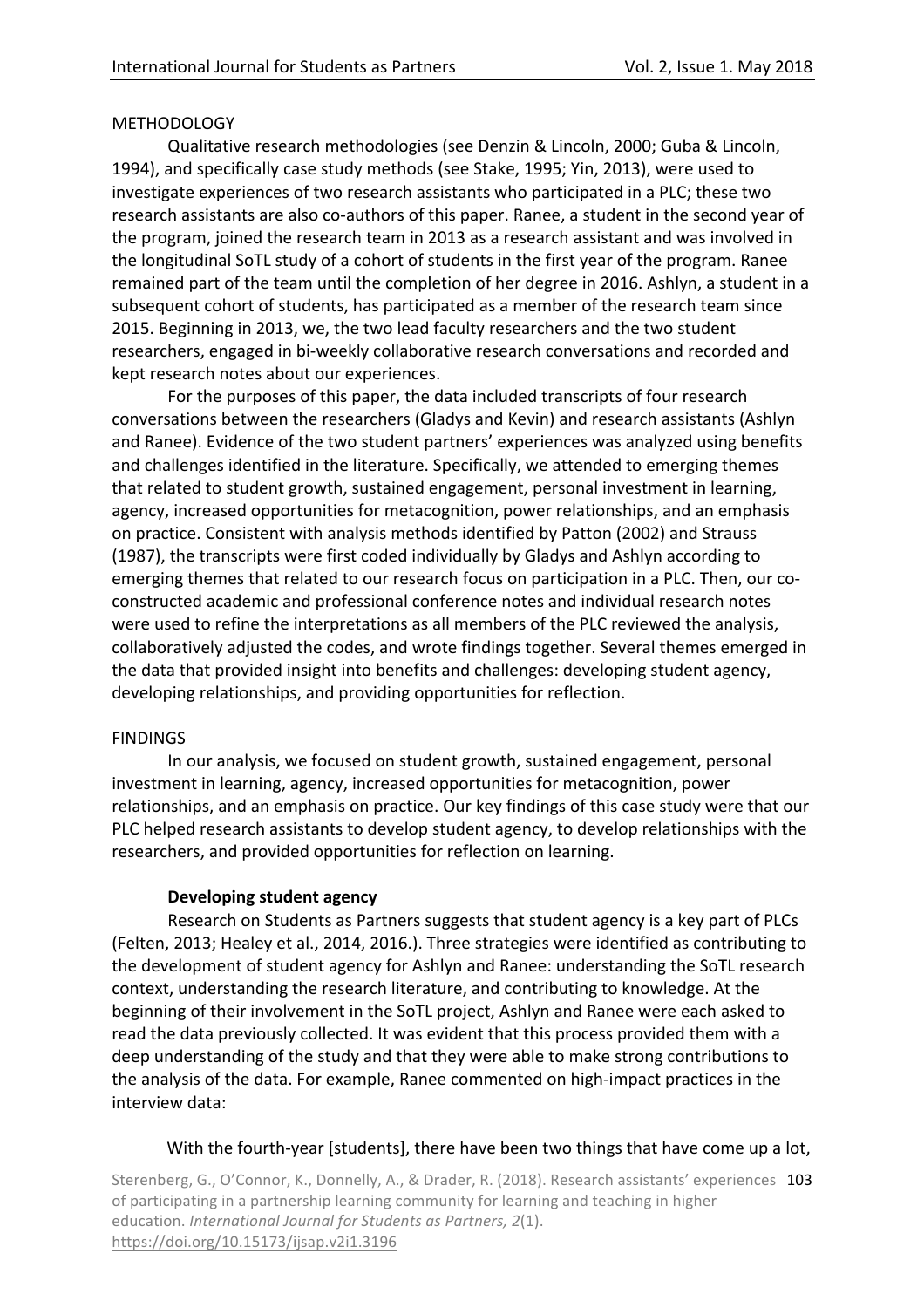## METHODOLOGY

Qualitative research methodologies (see Denzin & Lincoln, 2000; Guba & Lincoln, 1994), and specifically case study methods (see Stake, 1995; Yin, 2013), were used to investigate experiences of two research assistants who participated in a PLC; these two research assistants are also co-authors of this paper. Ranee, a student in the second year of the program, joined the research team in 2013 as a research assistant and was involved in the longitudinal SoTL study of a cohort of students in the first year of the program. Ranee remained part of the team until the completion of her degree in 2016. Ashlyn, a student in a subsequent cohort of students, has participated as a member of the research team since 2015. Beginning in 2013, we, the two lead faculty researchers and the two student researchers, engaged in bi-weekly collaborative research conversations and recorded and kept research notes about our experiences.

For the purposes of this paper, the data included transcripts of four research conversations between the researchers (Gladys and Kevin) and research assistants (Ashlyn and Ranee). Evidence of the two student partners' experiences was analyzed using benefits and challenges identified in the literature. Specifically, we attended to emerging themes that related to student growth, sustained engagement, personal investment in learning, agency, increased opportunities for metacognition, power relationships, and an emphasis on practice. Consistent with analysis methods identified by Patton (2002) and Strauss (1987), the transcripts were first coded individually by Gladys and Ashlyn according to emerging themes that related to our research focus on participation in a PLC. Then, our coconstructed academic and professional conference notes and individual research notes were used to refine the interpretations as all members of the PLC reviewed the analysis, collaboratively adjusted the codes, and wrote findings together. Several themes emerged in the data that provided insight into benefits and challenges: developing student agency, developing relationships, and providing opportunities for reflection.

## FINDINGS

In our analysis, we focused on student growth, sustained engagement, personal investment in learning, agency, increased opportunities for metacognition, power relationships, and an emphasis on practice. Our key findings of this case study were that our PLC helped research assistants to develop student agency, to develop relationships with the researchers, and provided opportunities for reflection on learning.

## **Developing student agency**

Research on Students as Partners suggests that student agency is a key part of PLCs (Felten, 2013; Healey et al., 2014, 2016.). Three strategies were identified as contributing to the development of student agency for Ashlyn and Ranee: understanding the SoTL research context, understanding the research literature, and contributing to knowledge. At the beginning of their involvement in the SoTL project, Ashlyn and Ranee were each asked to read the data previously collected. It was evident that this process provided them with a deep understanding of the study and that they were able to make strong contributions to the analysis of the data. For example, Ranee commented on high-impact practices in the interview data: 

## With the fourth-year [students], there have been two things that have come up a lot,

Sterenberg, G., O'Connor, K., Donnelly, A., & Drader, R. (2018). Research assistants' experiences 103 of participating in a partnership learning community for learning and teaching in higher education. *International Journal for Students as Partners, 2(1).* https://doi.org/10.15173/ijsap.v2i1.3196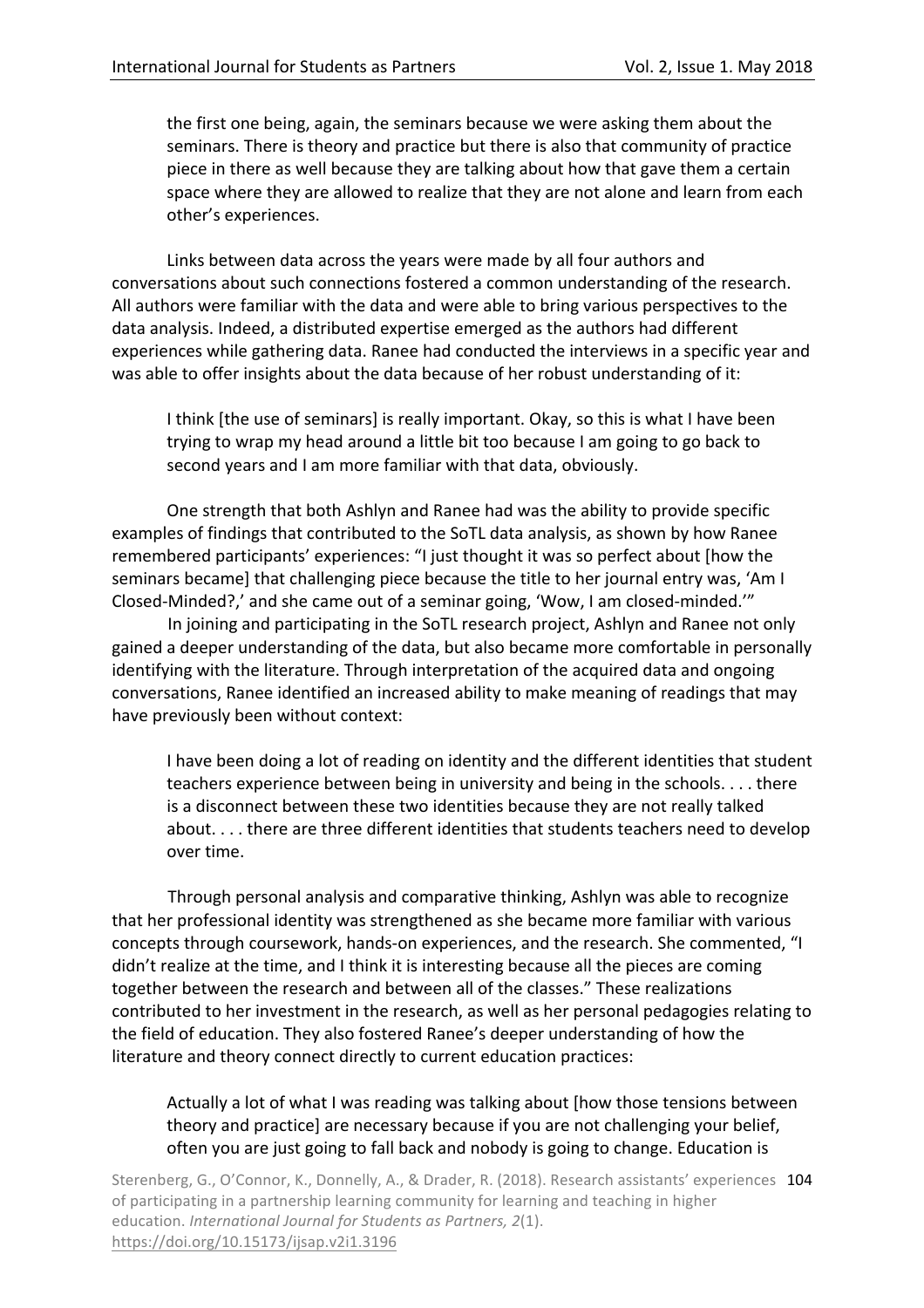the first one being, again, the seminars because we were asking them about the seminars. There is theory and practice but there is also that community of practice piece in there as well because they are talking about how that gave them a certain space where they are allowed to realize that they are not alone and learn from each other's experiences.

Links between data across the years were made by all four authors and conversations about such connections fostered a common understanding of the research. All authors were familiar with the data and were able to bring various perspectives to the data analysis. Indeed, a distributed expertise emerged as the authors had different experiences while gathering data. Ranee had conducted the interviews in a specific year and was able to offer insights about the data because of her robust understanding of it:

I think [the use of seminars] is really important. Okay, so this is what I have been trying to wrap my head around a little bit too because I am going to go back to second years and I am more familiar with that data, obviously.

One strength that both Ashlyn and Ranee had was the ability to provide specific examples of findings that contributed to the SoTL data analysis, as shown by how Ranee remembered participants' experiences: "I just thought it was so perfect about [how the seminars became] that challenging piece because the title to her journal entry was, 'Am I Closed-Minded?,' and she came out of a seminar going, 'Wow, I am closed-minded.'"

In joining and participating in the SoTL research project, Ashlyn and Ranee not only gained a deeper understanding of the data, but also became more comfortable in personally identifying with the literature. Through interpretation of the acquired data and ongoing conversations, Ranee identified an increased ability to make meaning of readings that may have previously been without context:

I have been doing a lot of reading on identity and the different identities that student teachers experience between being in university and being in the schools. . . . there is a disconnect between these two identities because they are not really talked about. . . . there are three different identities that students teachers need to develop over time.

Through personal analysis and comparative thinking, Ashlyn was able to recognize that her professional identity was strengthened as she became more familiar with various concepts through coursework, hands-on experiences, and the research. She commented, "I didn't realize at the time, and I think it is interesting because all the pieces are coming together between the research and between all of the classes." These realizations contributed to her investment in the research, as well as her personal pedagogies relating to the field of education. They also fostered Ranee's deeper understanding of how the literature and theory connect directly to current education practices:

## Actually a lot of what I was reading was talking about [how those tensions between theory and practice] are necessary because if you are not challenging your belief, often you are just going to fall back and nobody is going to change. Education is

Sterenberg, G., O'Connor, K., Donnelly, A., & Drader, R. (2018). Research assistants' experiences 104 of participating in a partnership learning community for learning and teaching in higher education. *International Journal for Students as Partners, 2(1).* https://doi.org/10.15173/ijsap.v2i1.3196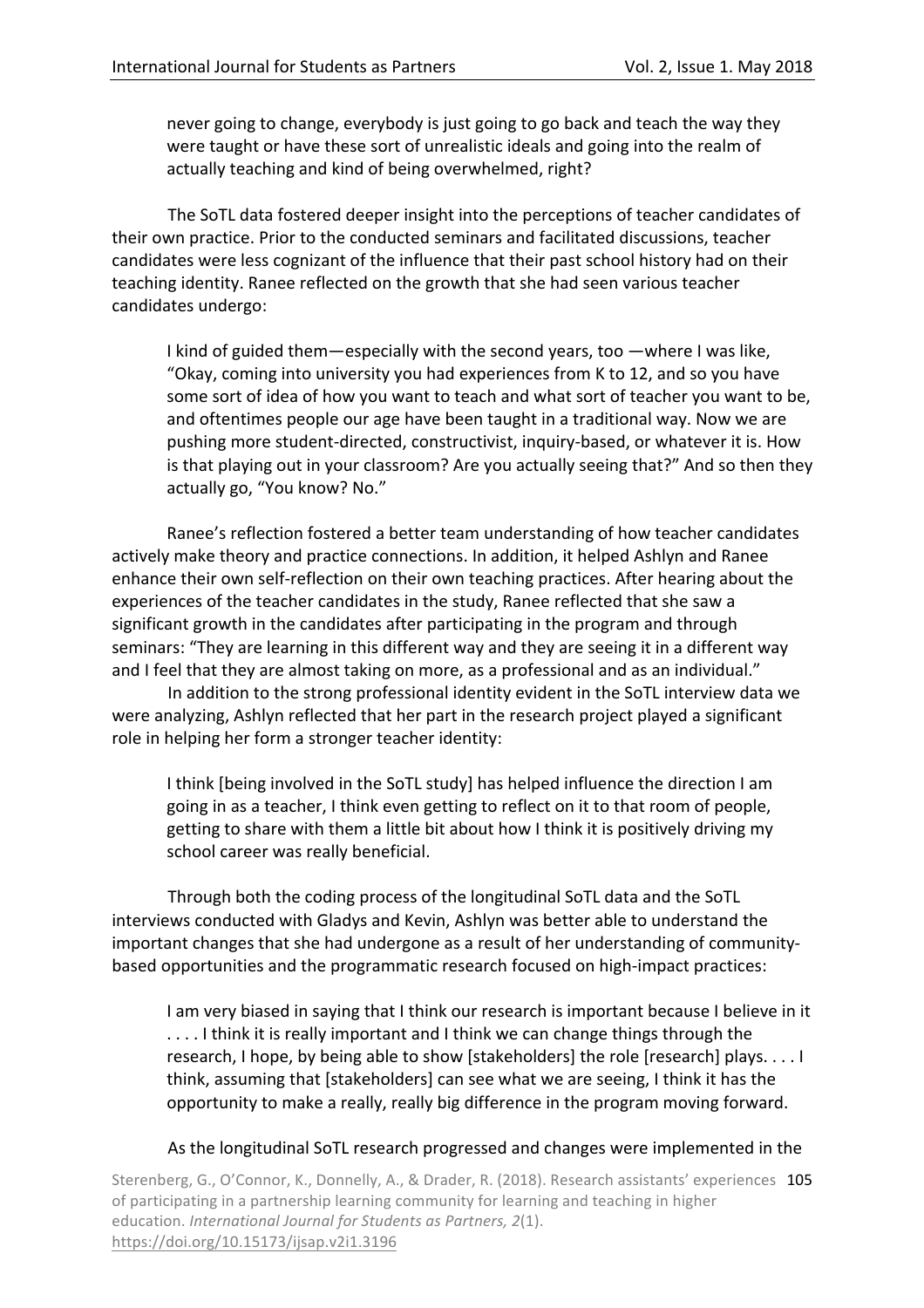never going to change, everybody is just going to go back and teach the way they were taught or have these sort of unrealistic ideals and going into the realm of actually teaching and kind of being overwhelmed, right?

The SoTL data fostered deeper insight into the perceptions of teacher candidates of their own practice. Prior to the conducted seminars and facilitated discussions, teacher candidates were less cognizant of the influence that their past school history had on their teaching identity. Ranee reflected on the growth that she had seen various teacher candidates undergo:

I kind of guided them—especially with the second years, too —where I was like, "Okay, coming into university you had experiences from K to 12, and so you have some sort of idea of how you want to teach and what sort of teacher you want to be, and oftentimes people our age have been taught in a traditional way. Now we are pushing more student-directed, constructivist, inquiry-based, or whatever it is. How is that playing out in your classroom? Are you actually seeing that?" And so then they actually go, "You know? No."

Ranee's reflection fostered a better team understanding of how teacher candidates actively make theory and practice connections. In addition, it helped Ashlyn and Ranee enhance their own self-reflection on their own teaching practices. After hearing about the experiences of the teacher candidates in the study, Ranee reflected that she saw a significant growth in the candidates after participating in the program and through seminars: "They are learning in this different way and they are seeing it in a different way and I feel that they are almost taking on more, as a professional and as an individual."

In addition to the strong professional identity evident in the SoTL interview data we were analyzing, Ashlyn reflected that her part in the research project played a significant role in helping her form a stronger teacher identity:

I think (being involved in the SoTL study) has helped influence the direction I am going in as a teacher, I think even getting to reflect on it to that room of people, getting to share with them a little bit about how I think it is positively driving my school career was really beneficial.

Through both the coding process of the longitudinal SoTL data and the SoTL interviews conducted with Gladys and Kevin, Ashlyn was better able to understand the important changes that she had undergone as a result of her understanding of communitybased opportunities and the programmatic research focused on high-impact practices:

I am very biased in saying that I think our research is important because I believe in it .... I think it is really important and I think we can change things through the research, I hope, by being able to show [stakeholders] the role [research] plays. . . . I think, assuming that [stakeholders] can see what we are seeing, I think it has the opportunity to make a really, really big difference in the program moving forward.

## As the longitudinal SoTL research progressed and changes were implemented in the

Sterenberg, G., O'Connor, K., Donnelly, A., & Drader, R. (2018). Research assistants' experiences 105 of participating in a partnership learning community for learning and teaching in higher education. *International Journal for Students as Partners, 2(1).* https://doi.org/10.15173/ijsap.v2i1.3196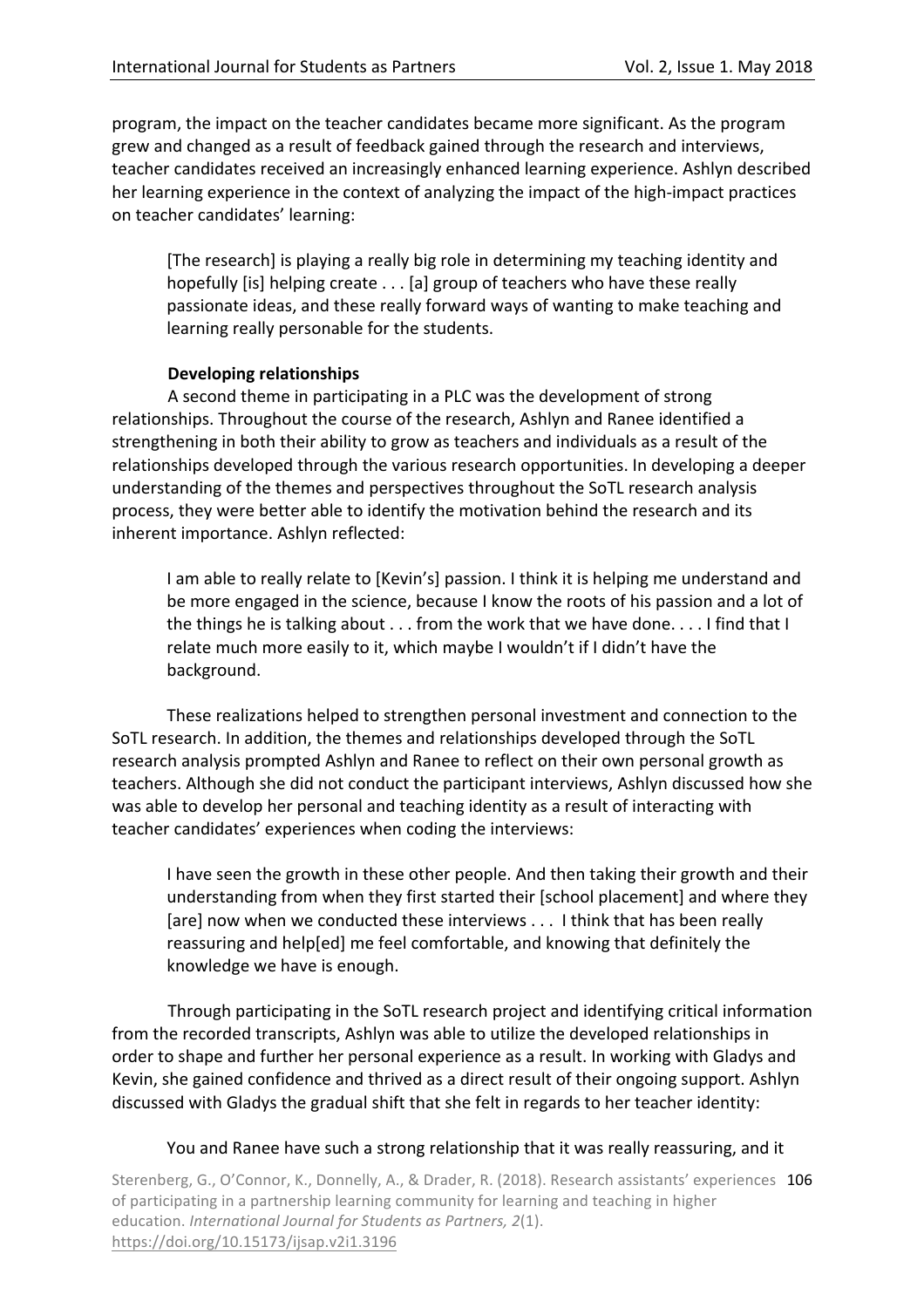program, the impact on the teacher candidates became more significant. As the program grew and changed as a result of feedback gained through the research and interviews, teacher candidates received an increasingly enhanced learning experience. Ashlyn described her learning experience in the context of analyzing the impact of the high-impact practices on teacher candidates' learning:

[The research] is playing a really big role in determining my teaching identity and hopefully [is] helping create  $\dots$  [a] group of teachers who have these really passionate ideas, and these really forward ways of wanting to make teaching and learning really personable for the students.

## **Developing relationships**

A second theme in participating in a PLC was the development of strong relationships. Throughout the course of the research, Ashlyn and Ranee identified a strengthening in both their ability to grow as teachers and individuals as a result of the relationships developed through the various research opportunities. In developing a deeper understanding of the themes and perspectives throughout the SoTL research analysis process, they were better able to identify the motivation behind the research and its inherent importance. Ashlyn reflected:

I am able to really relate to [Kevin's] passion. I think it is helping me understand and be more engaged in the science, because I know the roots of his passion and a lot of the things he is talking about  $\dots$  from the work that we have done.  $\dots$  I find that I relate much more easily to it, which maybe I wouldn't if I didn't have the background.

These realizations helped to strengthen personal investment and connection to the SoTL research. In addition, the themes and relationships developed through the SoTL research analysis prompted Ashlyn and Ranee to reflect on their own personal growth as teachers. Although she did not conduct the participant interviews, Ashlyn discussed how she was able to develop her personal and teaching identity as a result of interacting with teacher candidates' experiences when coding the interviews:

I have seen the growth in these other people. And then taking their growth and their understanding from when they first started their [school placement] and where they [are] now when we conducted these interviews . . . I think that has been really reassuring and help[ed] me feel comfortable, and knowing that definitely the knowledge we have is enough.

Through participating in the SoTL research project and identifying critical information from the recorded transcripts, Ashlyn was able to utilize the developed relationships in order to shape and further her personal experience as a result. In working with Gladys and Kevin, she gained confidence and thrived as a direct result of their ongoing support. Ashlyn discussed with Gladys the gradual shift that she felt in regards to her teacher identity:

## You and Ranee have such a strong relationship that it was really reassuring, and it

Sterenberg, G., O'Connor, K., Donnelly, A., & Drader, R. (2018). Research assistants' experiences 106 of participating in a partnership learning community for learning and teaching in higher education. *International Journal for Students as Partners, 2(1).* https://doi.org/10.15173/ijsap.v2i1.3196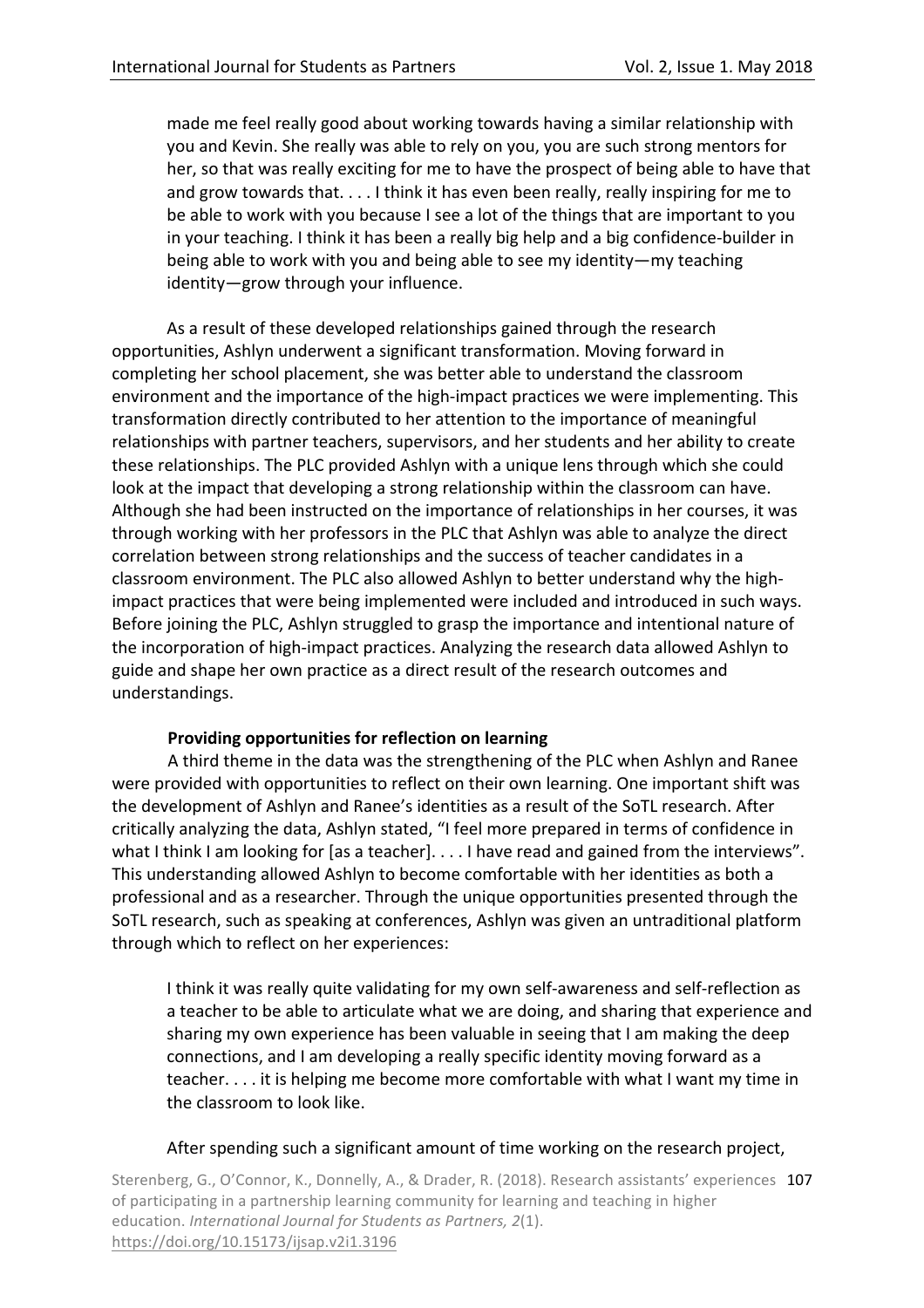made me feel really good about working towards having a similar relationship with you and Kevin. She really was able to rely on you, you are such strong mentors for her, so that was really exciting for me to have the prospect of being able to have that and grow towards that.  $\dots$  I think it has even been really, really inspiring for me to be able to work with you because I see a lot of the things that are important to you in your teaching. I think it has been a really big help and a big confidence-builder in being able to work with you and being able to see my identity—my teaching identity—grow through your influence.

As a result of these developed relationships gained through the research opportunities, Ashlyn underwent a significant transformation. Moving forward in completing her school placement, she was better able to understand the classroom environment and the importance of the high-impact practices we were implementing. This transformation directly contributed to her attention to the importance of meaningful relationships with partner teachers, supervisors, and her students and her ability to create these relationships. The PLC provided Ashlyn with a unique lens through which she could look at the impact that developing a strong relationship within the classroom can have. Although she had been instructed on the importance of relationships in her courses, it was through working with her professors in the PLC that Ashlyn was able to analyze the direct correlation between strong relationships and the success of teacher candidates in a classroom environment. The PLC also allowed Ashlyn to better understand why the highimpact practices that were being implemented were included and introduced in such ways. Before joining the PLC, Ashlyn struggled to grasp the importance and intentional nature of the incorporation of high-impact practices. Analyzing the research data allowed Ashlyn to guide and shape her own practice as a direct result of the research outcomes and understandings.

# **Providing opportunities for reflection on learning**

A third theme in the data was the strengthening of the PLC when Ashlyn and Ranee were provided with opportunities to reflect on their own learning. One important shift was the development of Ashlyn and Ranee's identities as a result of the SoTL research. After critically analyzing the data, Ashlyn stated, "I feel more prepared in terms of confidence in what I think I am looking for [as a teacher].  $\dots$  I have read and gained from the interviews". This understanding allowed Ashlyn to become comfortable with her identities as both a professional and as a researcher. Through the unique opportunities presented through the SoTL research, such as speaking at conferences, Ashlyn was given an untraditional platform through which to reflect on her experiences:

I think it was really quite validating for my own self-awareness and self-reflection as a teacher to be able to articulate what we are doing, and sharing that experience and sharing my own experience has been valuable in seeing that I am making the deep connections, and I am developing a really specific identity moving forward as a teacher.... it is helping me become more comfortable with what I want my time in the classroom to look like.

# After spending such a significant amount of time working on the research project,

Sterenberg, G., O'Connor, K., Donnelly, A., & Drader, R. (2018). Research assistants' experiences 107 of participating in a partnership learning community for learning and teaching in higher education. *International Journal for Students as Partners, 2(1).* https://doi.org/10.15173/ijsap.v2i1.3196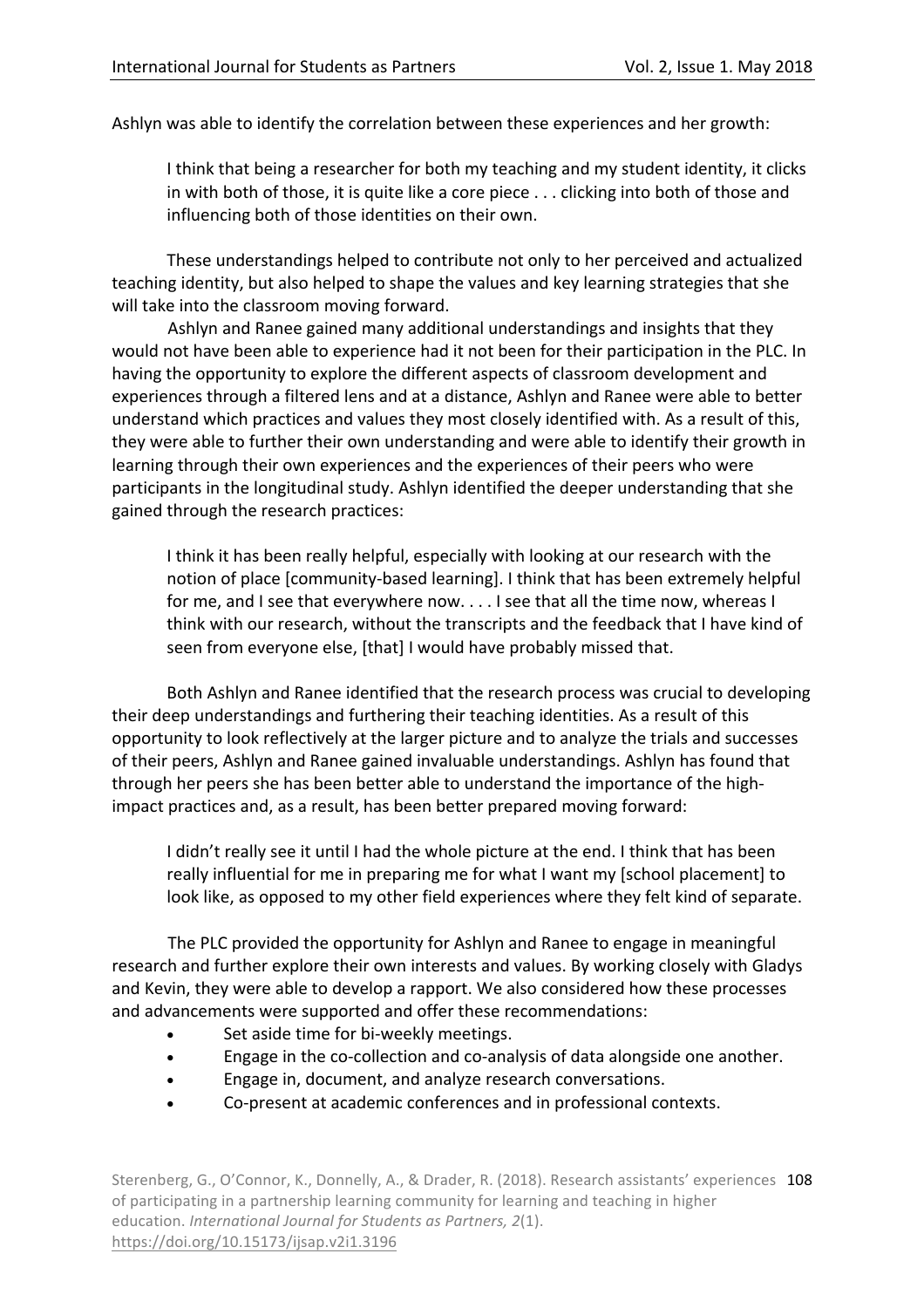Ashlyn was able to identify the correlation between these experiences and her growth:

I think that being a researcher for both my teaching and my student identity, it clicks in with both of those, it is quite like a core piece  $\dots$  clicking into both of those and influencing both of those identities on their own.

These understandings helped to contribute not only to her perceived and actualized teaching identity, but also helped to shape the values and key learning strategies that she will take into the classroom moving forward.

Ashlyn and Ranee gained many additional understandings and insights that they would not have been able to experience had it not been for their participation in the PLC. In having the opportunity to explore the different aspects of classroom development and experiences through a filtered lens and at a distance, Ashlyn and Ranee were able to better understand which practices and values they most closely identified with. As a result of this, they were able to further their own understanding and were able to identify their growth in learning through their own experiences and the experiences of their peers who were participants in the longitudinal study. Ashlyn identified the deeper understanding that she gained through the research practices:

I think it has been really helpful, especially with looking at our research with the notion of place [community-based learning]. I think that has been extremely helpful for me, and I see that everywhere now. . . . I see that all the time now, whereas I think with our research, without the transcripts and the feedback that I have kind of seen from everyone else, [that] I would have probably missed that.

Both Ashlyn and Ranee identified that the research process was crucial to developing their deep understandings and furthering their teaching identities. As a result of this opportunity to look reflectively at the larger picture and to analyze the trials and successes of their peers, Ashlyn and Ranee gained invaluable understandings. Ashlyn has found that through her peers she has been better able to understand the importance of the highimpact practices and, as a result, has been better prepared moving forward:

I didn't really see it until I had the whole picture at the end. I think that has been really influential for me in preparing me for what I want my [school placement] to look like, as opposed to my other field experiences where they felt kind of separate.

The PLC provided the opportunity for Ashlyn and Ranee to engage in meaningful research and further explore their own interests and values. By working closely with Gladys and Kevin, they were able to develop a rapport. We also considered how these processes and advancements were supported and offer these recommendations:

- Set aside time for bi-weekly meetings.
- Engage in the co-collection and co-analysis of data alongside one another.
- Engage in, document, and analyze research conversations.
- Co-present at academic conferences and in professional contexts.

Sterenberg, G., O'Connor, K., Donnelly, A., & Drader, R. (2018). Research assistants' experiences 108 of participating in a partnership learning community for learning and teaching in higher education. *International Journal for Students as Partners, 2(1).* https://doi.org/10.15173/ijsap.v2i1.3196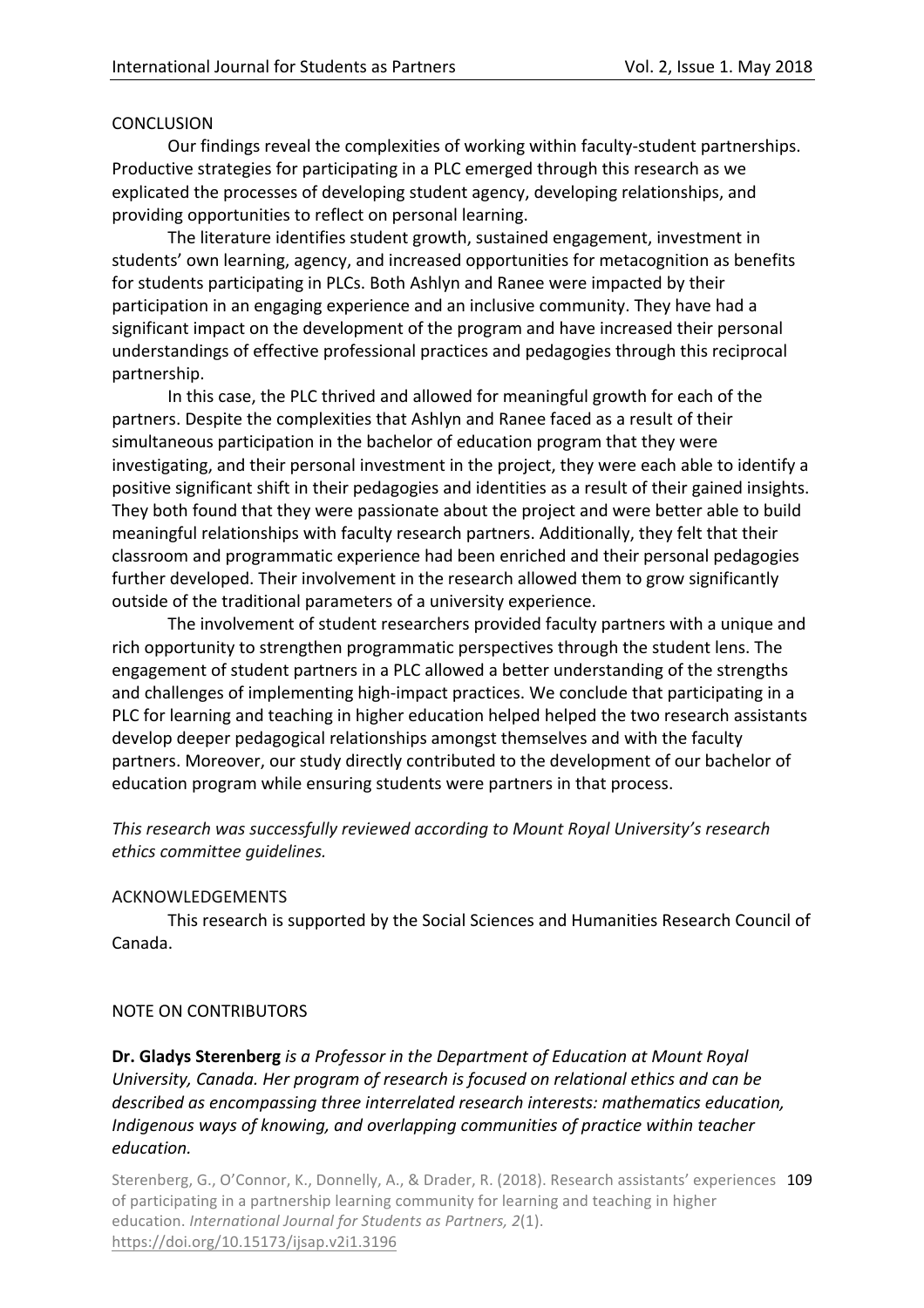#### **CONCLUSION**

Our findings reveal the complexities of working within faculty-student partnerships. Productive strategies for participating in a PLC emerged through this research as we explicated the processes of developing student agency, developing relationships, and providing opportunities to reflect on personal learning.

The literature identifies student growth, sustained engagement, investment in students' own learning, agency, and increased opportunities for metacognition as benefits for students participating in PLCs. Both Ashlyn and Ranee were impacted by their participation in an engaging experience and an inclusive community. They have had a significant impact on the development of the program and have increased their personal understandings of effective professional practices and pedagogies through this reciprocal partnership. 

In this case, the PLC thrived and allowed for meaningful growth for each of the partners. Despite the complexities that Ashlyn and Ranee faced as a result of their simultaneous participation in the bachelor of education program that they were investigating, and their personal investment in the project, they were each able to identify a positive significant shift in their pedagogies and identities as a result of their gained insights. They both found that they were passionate about the project and were better able to build meaningful relationships with faculty research partners. Additionally, they felt that their classroom and programmatic experience had been enriched and their personal pedagogies further developed. Their involvement in the research allowed them to grow significantly outside of the traditional parameters of a university experience.

The involvement of student researchers provided faculty partners with a unique and rich opportunity to strengthen programmatic perspectives through the student lens. The engagement of student partners in a PLC allowed a better understanding of the strengths and challenges of implementing high-impact practices. We conclude that participating in a PLC for learning and teaching in higher education helped helped the two research assistants develop deeper pedagogical relationships amongst themselves and with the faculty partners. Moreover, our study directly contributed to the development of our bachelor of education program while ensuring students were partners in that process.

This research was successfully reviewed according to Mount Royal University's research *ethics committee guidelines.*

## ACKNOWLEDGEMENTS

This research is supported by the Social Sciences and Humanities Research Council of Canada. 

## NOTE ON CONTRIBUTORS

**Dr. Gladys Sterenberg** *is a Professor in the Department of Education at Mount Royal* University, Canada. Her program of research is focused on relational ethics and can be described as encompassing three interrelated research interests: mathematics education, *Indigenous* ways of knowing, and overlapping communities of practice within teacher *education.*

Sterenberg, G., O'Connor, K., Donnelly, A., & Drader, R. (2018). Research assistants' experiences 109 of participating in a partnership learning community for learning and teaching in higher education. *International Journal for Students as Partners, 2(1).* https://doi.org/10.15173/ijsap.v2i1.3196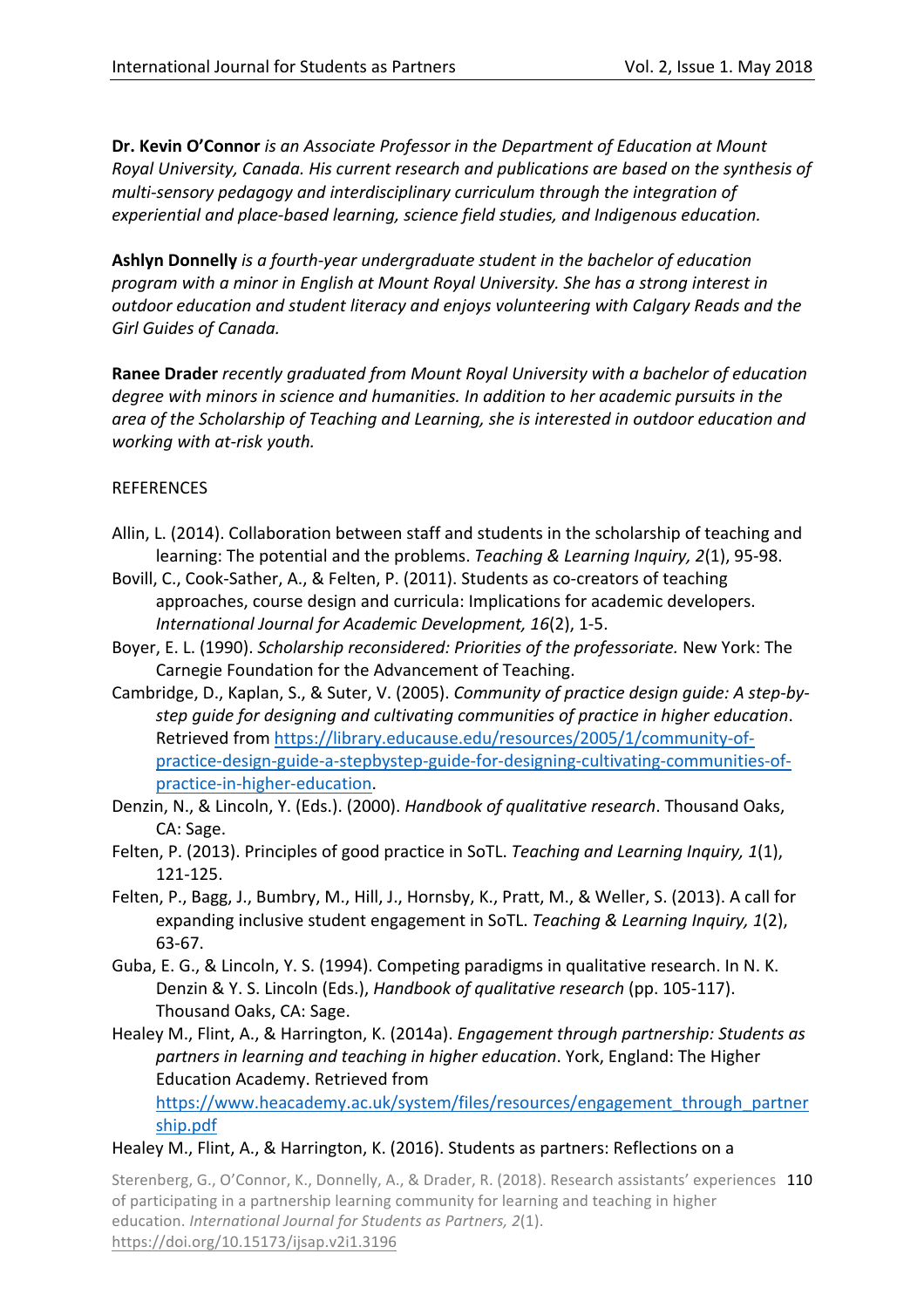**Dr. Kevin O'Connor** *is an Associate Professor in the Department of Education at Mount Royal University, Canada. His current research and publications are based on the synthesis of* multi-sensory pedagogy and interdisciplinary curriculum through the integration of *experiential and place-based learning, science field studies, and Indigenous education.*

**Ashlyn Donnelly** *is a fourth-year undergraduate student in the bachelor of education program* with a minor in English at Mount Royal University. She has a strong interest in *outdoor* education and student literacy and enjoys volunteering with Calgary Reads and the Girl Guides of Canada.

**Ranee Drader** *recently graduated from Mount Royal University with a bachelor of education degree* with minors in science and humanities. In addition to her academic pursuits in the area of the Scholarship of Teaching and Learning, she is interested in outdoor education and *working with at-risk youth.*

## **REFERENCES**

- Allin, L. (2014). Collaboration between staff and students in the scholarship of teaching and learning: The potential and the problems. *Teaching & Learning Inquiry, 2(1), 95-98.*
- Bovill, C., Cook-Sather, A., & Felten, P. (2011). Students as co-creators of teaching approaches, course design and curricula: Implications for academic developers. *International Journal for Academic Development, 16*(2), 1-5.
- Boyer, E. L. (1990). *Scholarship reconsidered: Priorities of the professoriate.* New York: The Carnegie Foundation for the Advancement of Teaching.
- Cambridge, D., Kaplan, S., & Suter, V. (2005). *Community of practice design quide: A step-bystep guide for designing and cultivating communities of practice in higher education*. Retrieved from https://library.educause.edu/resources/2005/1/community-ofpractice-design-guide-a-stepbystep-guide-for-designing-cultivating-communities-ofpractice-in-higher-education.
- Denzin, N., & Lincoln, Y. (Eds.). (2000). *Handbook of qualitative research*. Thousand Oaks, CA: Sage.
- Felten, P. (2013). Principles of good practice in SoTL. *Teaching and Learning Inquiry, 1*(1), 121-125.
- Felten, P., Bagg, J., Bumbry, M., Hill, J., Hornsby, K., Pratt, M., & Weller, S. (2013). A call for expanding inclusive student engagement in SoTL. *Teaching & Learning Inquiry, 1*(2), 63-67.
- Guba, E. G., & Lincoln, Y. S. (1994). Competing paradigms in qualitative research. In N. K. Denzin & Y. S. Lincoln (Eds.), *Handbook of qualitative research* (pp. 105-117). Thousand Oaks, CA: Sage.
- Healey M., Flint, A., & Harrington, K. (2014a). *Engagement through partnership: Students as partners in learning and teaching in higher education*. York, England: The Higher Education Academy. Retrieved from

https://www.heacademy.ac.uk/system/files/resources/engagement\_through\_partner ship.pdf

## Healey M., Flint, A., & Harrington, K. (2016). Students as partners: Reflections on a

Sterenberg, G., O'Connor, K., Donnelly, A., & Drader, R. (2018). Research assistants' experiences 110 of participating in a partnership learning community for learning and teaching in higher education. *International Journal for Students as Partners, 2(1).* https://doi.org/10.15173/ijsap.v2i1.3196